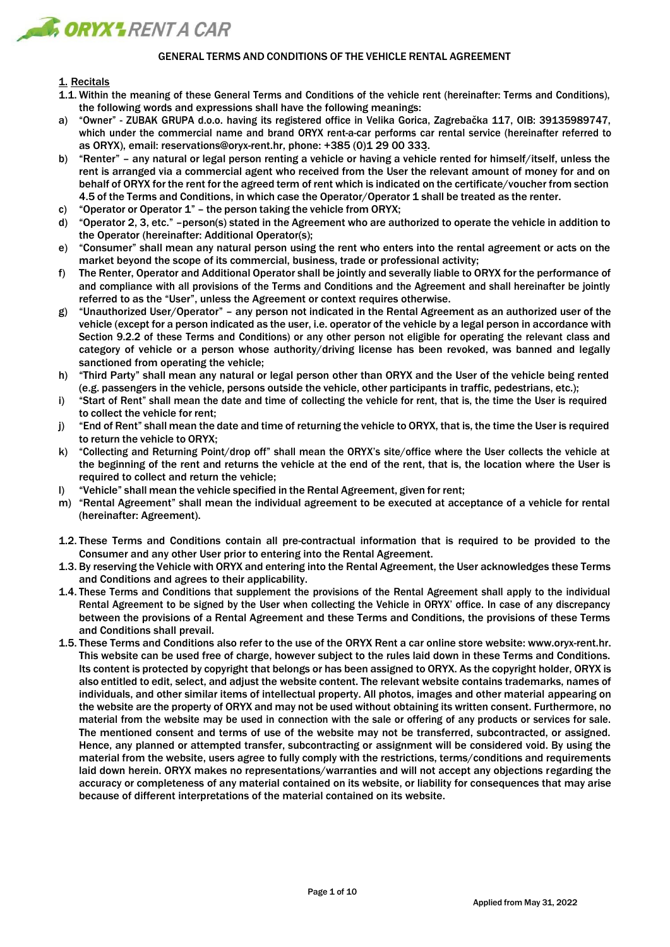

## GENERAL TERMS AND CONDITIONS OF THE VEHICLE RENTAL AGREEMENT

# 1. Recitals

- 1.1. Within the meaning of these General Terms and Conditions of the vehicle rent (hereinafter: Terms and Conditions), the following words and expressions shall have the following meanings:
- a) "Owner" ZUBAK GRUPA d.o.o. having its registered office in Velika Gorica, Zagrebačka 117, OIB: 39135989747, which under the commercial name and brand ORYX rent-a-car performs car rental service (hereinafter referred to as ORYX), email: [reservations@oryx-rent.hr, p](mailto:reservations@oryx-rent.hr)hone: +385 (0)1 29 00 333.
- b) "Renter" any natural or legal person renting a vehicle or having a vehicle rented for himself/itself, unless the rent is arranged via a commercial agent who received from the User the relevant amount of money for and on behalf of ORYX for the rent for the agreed term of rent which is indicated on the certificate/voucher from section 4.5 of the Terms and Conditions, in which case the Operator/Operator 1 shall be treated as the renter.
- c) "Operator or Operator 1" the person taking the vehicle from ORYX;
- d) "Operator 2, 3, etc." –person(s) stated in the Agreement who are authorized to operate the vehicle in addition to the Operator (hereinafter: Additional Operator(s);
- e) "Consumer" shall mean any natural person using the rent who enters into the rental agreement or acts on the market beyond the scope of its commercial, business, trade or professional activity;
- f) The Renter, Operator and Additional Operator shall be jointly and severally liable to ORYX for the performance of and compliance with all provisions of the Terms and Conditions and the Agreement and shall hereinafter be jointly referred to as the "User", unless the Agreement or context requires otherwise.
- g) "Unauthorized User/Operator" any person not indicated in the Rental Agreement as an authorized user of the vehicle (except for a person indicated as the user, i.e. operator of the vehicle by a legal person in accordance with Section 9.2.2 of these Terms and Conditions) or any other person not eligible for operating the relevant class and category of vehicle or a person whose authority/driving license has been revoked, was banned and legally sanctioned from operating the vehicle;
- h) "Third Party" shall mean any natural or legal person other than ORYX and the User of the vehicle being rented (e.g. passengers in the vehicle, persons outside the vehicle, other participants in traffic, pedestrians, etc.);
- i) "Start of Rent" shall mean the date and time of collecting the vehicle for rent, that is, the time the User is required to collect the vehicle for rent;
- j) "End of Rent" shall mean the date and time of returning the vehicle to ORYX, that is, the time the User is required to return the vehicle to ORYX;
- k) "Collecting and Returning Point/drop off" shall mean the ORYX's site/office where the User collects the vehicle at the beginning of the rent and returns the vehicle at the end of the rent, that is, the location where the User is required to collect and return the vehicle:
- l) "Vehicle" shall mean the vehicle specified in the Rental Agreement, given for rent;
- m) "Rental Agreement" shall mean the individual agreement to be executed at acceptance of a vehicle for rental (hereinafter: Agreement).
- 1.2. These Terms and Conditions contain all pre-contractual information that is required to be provided to the Consumer and any other User prior to entering into the Rental Agreement.
- 1.3. By reserving the Vehicle with ORYX and entering into the Rental Agreement, the User acknowledges these Terms and Conditions and agrees to their applicability.
- 1.4. These Terms and Conditions that supplement the provisions of the Rental Agreement shall apply to the individual Rental Agreement to be signed by the User when collecting the Vehicle in ORYX' office. In case of any discrepancy between the provisions of a Rental Agreement and these Terms and Conditions, the provisions of these Terms and Conditions shall prevail.
- 1.5. These Terms and Conditions also refer to the use of the ORYX Rent a car online store website: [www.oryx-rent.hr.](http://www.oryx-rent.hr/) This website can be used free of charge, however subject to the rules laid down in these Terms and Conditions. Its content is protected by copyright that belongs or has been assigned to ORYX. As the copyright holder, ORYX is also entitled to edit, select, and adjust the website content. The relevant website contains trademarks, names of individuals, and other similar items of intellectual property. All photos, images and other material appearing on the website are the property of ORYX and may not be used without obtaining its written consent. Furthermore, no material from the website may be used in connection with the sale or offering of any products or services for sale. The mentioned consent and terms of use of the website may not be transferred, subcontracted, or assigned. Hence, any planned or attempted transfer, subcontracting or assignment will be considered void. By using the material from the website, users agree to fully comply with the restrictions, terms/conditions and requirements laid down herein. ORYX makes no representations/warranties and will not accept any objections regarding the accuracy or completeness of any material contained on its website, or liability for consequences that may arise because of different interpretations of the material contained on its website.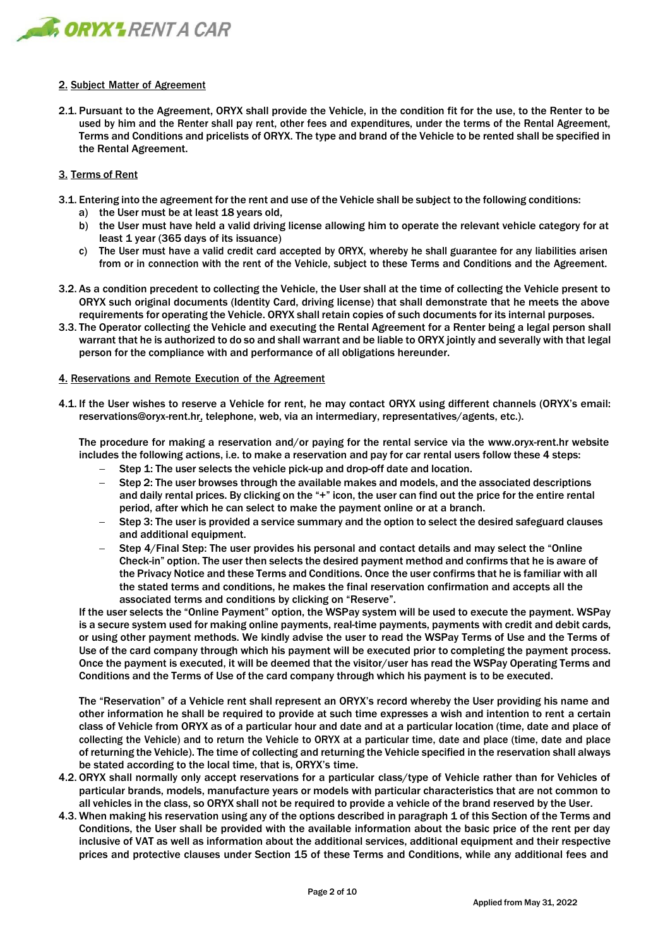

## 2. Subject Matter of Agreement

2.1. Pursuant to the Agreement, ORYX shall provide the Vehicle, in the condition fit for the use, to the Renter to be used by him and the Renter shall pay rent, other fees and expenditures, under the terms of the Rental Agreement, Terms and Conditions and pricelists of ORYX. The type and brand of the Vehicle to be rented shall be specified in the Rental Agreement.

## 3. Terms of Rent

- 3.1. Entering into the agreement for the rent and use of the Vehicle shall be subject to the following conditions:
	- a) the User must be at least 18 years old,
	- b) the User must have held a valid driving license allowing him to operate the relevant vehicle category for at least 1 year (365 days of its issuance)
	- c) The User must have a valid credit card accepted by ORYX, whereby he shall guarantee for any liabilities arisen from or in connection with the rent of the Vehicle, subject to these Terms and Conditions and the Agreement.
- 3.2. As a condition precedent to collecting the Vehicle, the User shall at the time of collecting the Vehicle present to ORYX such original documents (Identity Card, driving license) that shall demonstrate that he meets the above requirements for operating the Vehicle. ORYX shall retain copies of such documents for its internal purposes.
- 3.3. The Operator collecting the Vehicle and executing the Rental Agreement for a Renter being a legal person shall warrant that he is authorized to do so and shall warrant and be liable to ORYX jointly and severally with that legal person for the compliance with and performance of all obligations hereunder.

## 4. Reservations and Remote Execution of the Agreement

4.1. If the User wishes to reserve a Vehicle for rent, he may contact ORYX using different channels (ORYX's email: [reservations@oryx-rent.hr,](mailto:reservations@oryx-rent.hr) telephone, web, via an intermediary, representatives/agents, etc.).

The procedure for making a reservation and/or paying for the rental service via the [www.oryx-rent.hr](http://www.oryx-rent.hr/) website includes the following actions, i.e. to make a reservation and pay for car rental users follow these 4 steps:

- − Step 1: The user selects the vehicle pick-up and drop-off date and location.
- Step 2: The user browses through the available makes and models, and the associated descriptions and daily rental prices. By clicking on the "+" icon, the user can find out the price for the entire rental period, after which he can select to make the payment online or at a branch.
- − Step 3: The user is provided a service summary and the option to select the desired safeguard clauses and additional equipment.
- Step 4/Final Step: The user provides his personal and contact details and may select the "Online Check-in" option. The user then selects the desired payment method and confirms that he is aware of the Privacy Notice and these Terms and Conditions. Once the user confirms that he is familiar with all the stated terms and conditions, he makes the final reservation confirmation and accepts all the associated terms and conditions by clicking on "Reserve".

If the user selects the "Online Payment" option, the WSPay system will be used to execute the payment. WSPay is a secure system used for making online payments, real-time payments, payments with credit and debit cards, or using other payment methods. We kindly advise the user to read the WSPay Terms of Use and the Terms of Use of the card company through which his payment will be executed prior to completing the payment process. Once the payment is executed, it will be deemed that the visitor/user has read the WSPay Operating Terms and Conditions and the Terms of Use of the card company through which his payment is to be executed.

The "Reservation" of a Vehicle rent shall represent an ORYX's record whereby the User providing his name and other information he shall be required to provide at such time expresses a wish and intention to rent a certain class of Vehicle from ORYX as of a particular hour and date and at a particular location (time, date and place of collecting the Vehicle) and to return the Vehicle to ORYX at a particular time, date and place (time, date and place of returning the Vehicle). The time of collecting and returning the Vehicle specified in the reservation shall always be stated according to the local time, that is, ORYX's time.

- 4.2. ORYX shall normally only accept reservations for a particular class/type of Vehicle rather than for Vehicles of particular brands, models, manufacture years or models with particular characteristics that are not common to all vehicles in the class, so ORYX shall not be required to provide a vehicle of the brand reserved by the User.
- 4.3. When making his reservation using any of the options described in paragraph 1 of this Section of the Terms and Conditions, the User shall be provided with the available information about the basic price of the rent per day inclusive of VAT as well as information about the additional services, additional equipment and their respective prices and protective clauses under Section 15 of these Terms and Conditions, while any additional fees and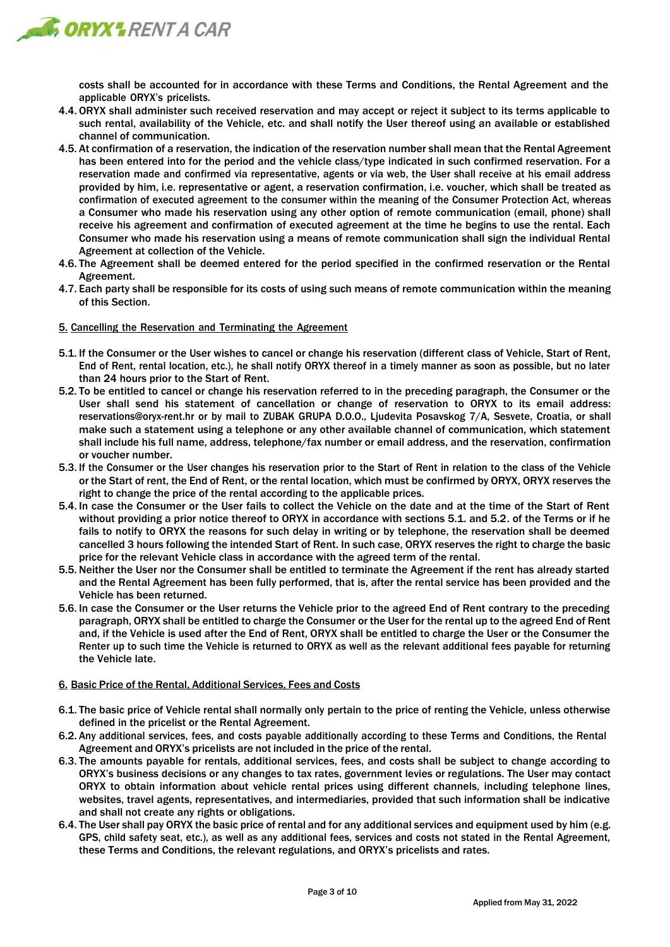

costs shall be accounted for in accordance with these Terms and Conditions, the Rental Agreement and the applicable ORYX's pricelists.

- 4.4. ORYX shall administer such received reservation and may accept or reject it subject to its terms applicable to such rental, availability of the Vehicle, etc. and shall notify the User thereof using an available or established channel of communication.
- 4.5. At confirmation of a reservation, the indication of the reservation number shall mean that the Rental Agreement has been entered into for the period and the vehicle class/type indicated in such confirmed reservation. For a reservation made and confirmed via representative, agents or via web, the User shall receive at his email address provided by him, i.e. representative or agent, a reservation confirmation, i.e. voucher, which shall be treated as confirmation of executed agreement to the consumer within the meaning of the Consumer Protection Act, whereas a Consumer who made his reservation using any other option of remote communication (email, phone) shall receive his agreement and confirmation of executed agreement at the time he begins to use the rental. Each Consumer who made his reservation using a means of remote communication shall sign the individual Rental Agreement at collection of the Vehicle.
- 4.6. The Agreement shall be deemed entered for the period specified in the confirmed reservation or the Rental Agreement.
- 4.7. Each party shall be responsible for its costs of using such means of remote communication within the meaning of this Section.
- 5. Cancelling the Reservation and Terminating the Agreement
- 5.1. If the Consumer or the User wishes to cancel or change his reservation (different class of Vehicle, Start of Rent, End of Rent, rental location, etc.), he shall notify ORYX thereof in a timely manner as soon as possible, but no later than 24 hours prior to the Start of Rent.
- 5.2. To be entitled to cancel or change his reservation referred to in the preceding paragraph, the Consumer or the User shall send his statement of cancellation or change of reservation to ORYX to its email address: [reservations@oryx-rent.hr o](mailto:reservations@oryx-rent.hr)r by mail to ZUBAK GRUPA D.O.O., Ljudevita Posavskog 7/A, Sesvete, Croatia, or shall make such a statement using a telephone or any other available channel of communication, which statement shall include his full name, address, telephone/fax number or email address, and the reservation, confirmation or voucher number.
- 5.3. If the Consumer or the User changes his reservation prior to the Start of Rent in relation to the class of the Vehicle or the Start of rent, the End of Rent, or the rental location, which must be confirmed by ORYX, ORYX reserves the right to change the price of the rental according to the applicable prices.
- 5.4. In case the Consumer or the User fails to collect the Vehicle on the date and at the time of the Start of Rent without providing a prior notice thereof to ORYX in accordance with sections 5.1. and 5.2. of the Terms or if he fails to notify to ORYX the reasons for such delay in writing or by telephone, the reservation shall be deemed cancelled 3 hours following the intended Start of Rent. In such case, ORYX reserves the right to charge the basic price for the relevant Vehicle class in accordance with the agreed term of the rental.
- 5.5. Neither the User nor the Consumer shall be entitled to terminate the Agreement if the rent has already started and the Rental Agreement has been fully performed, that is, after the rental service has been provided and the Vehicle has been returned.
- 5.6. In case the Consumer or the User returns the Vehicle prior to the agreed End of Rent contrary to the preceding paragraph, ORYX shall be entitled to charge the Consumer or the User for the rental up to the agreed End of Rent and, if the Vehicle is used after the End of Rent, ORYX shall be entitled to charge the User or the Consumer the Renter up to such time the Vehicle is returned to ORYX as well as the relevant additional fees payable for returning the Vehicle late.

# 6. Basic Price of the Rental, Additional Services, Fees and Costs

- 6.1. The basic price of Vehicle rental shall normally only pertain to the price of renting the Vehicle, unless otherwise defined in the pricelist or the Rental Agreement.
- 6.2. Any additional services, fees, and costs payable additionally according to these Terms and Conditions, the Rental Agreement and ORYX's pricelists are not included in the price of the rental.
- 6.3. The amounts payable for rentals, additional services, fees, and costs shall be subject to change according to ORYX's business decisions or any changes to tax rates, government levies or regulations. The User may contact ORYX to obtain information about vehicle rental prices using different channels, including telephone lines, websites, travel agents, representatives, and intermediaries, provided that such information shall be indicative and shall not create any rights or obligations.
- 6.4. The User shall pay ORYX the basic price of rental and for any additional services and equipment used by him (e.g. GPS, child safety seat, etc.), as well as any additional fees, services and costs not stated in the Rental Agreement, these Terms and Conditions, the relevant regulations, and ORYX's pricelists and rates.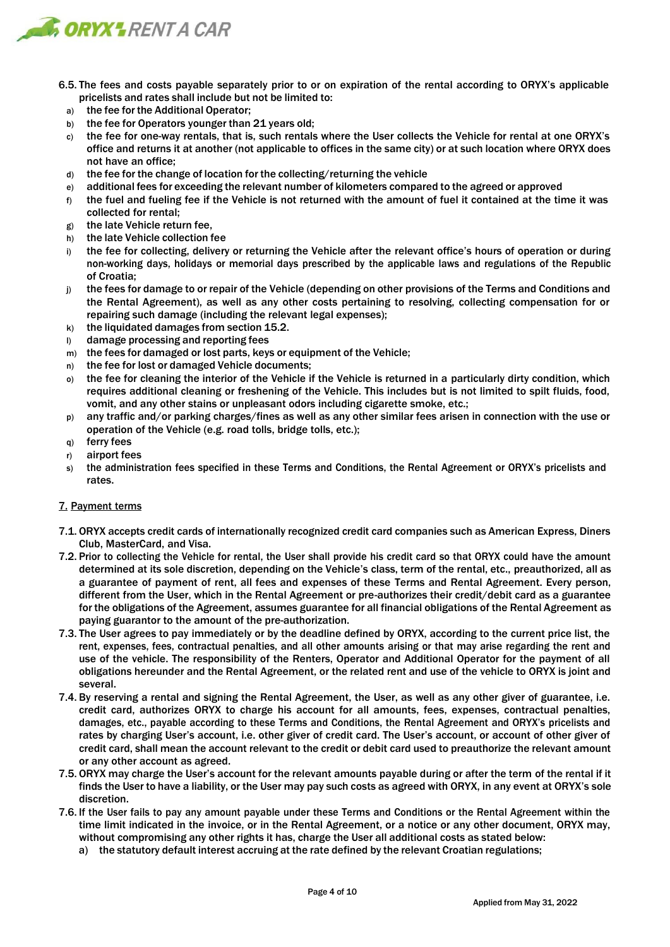

- 6.5. The fees and costs payable separately prior to or on expiration of the rental according to ORYX's applicable pricelists and rates shall include but not be limited to:
	- a) the fee for the Additional Operator;
	- b) the fee for Operators younger than 21 years old;
	- c) the fee for one-way rentals, that is, such rentals where the User collects the Vehicle for rental at one ORYX's office and returns it at another (not applicable to offices in the same city) or at such location where ORYX does not have an office;
	- d) the fee for the change of location for the collecting/returning the vehicle
	- e) additional fees for exceeding the relevant number of kilometers compared to the agreed or approved
	- $f$  the fuel and fueling fee if the Vehicle is not returned with the amount of fuel it contained at the time it was collected for rental;
	- g) the late Vehicle return fee,
	- h) the late Vehicle collection fee
	- i) the fee for collecting, delivery or returning the Vehicle after the relevant office's hours of operation or during non-working days, holidays or memorial days prescribed by the applicable laws and regulations of the Republic of Croatia;
	- j) the fees for damage to or repair of the Vehicle (depending on other provisions of the Terms and Conditions and the Rental Agreement), as well as any other costs pertaining to resolving, collecting compensation for or repairing such damage (including the relevant legal expenses);
	- k) the liquidated damages from section 15.2.
	- l) damage processing and reporting fees
	- m) the fees for damaged or lost parts, keys or equipment of the Vehicle;
	- n) the fee for lost or damaged Vehicle documents;
	- o) the fee for cleaning the interior of the Vehicle if the Vehicle is returned in a particularly dirty condition, which requires additional cleaning or freshening of the Vehicle. This includes but is not limited to spilt fluids, food, vomit, and any other stains or unpleasant odors including cigarette smoke, etc.;
	- p) any traffic and/or parking charges/fines as well as any other similar fees arisen in connection with the use or operation of the Vehicle (e.g. road tolls, bridge tolls, etc.);
	- q) ferry fees
	- r) airport fees
	- s) the administration fees specified in these Terms and Conditions, the Rental Agreement or ORYX's pricelists and rates.

# 7. Payment terms

- 7.1. ORYX accepts credit cards of internationally recognized credit card companies such as American Express, Diners Club, MasterCard, and Visa.
- 7.2. Prior to collecting the Vehicle for rental, the User shall provide his credit card so that ORYX could have the amount determined at its sole discretion, depending on the Vehicle's class, term of the rental, etc., preauthorized, all as a guarantee of payment of rent, all fees and expenses of these Terms and Rental Agreement. Every person, different from the User, which in the Rental Agreement or pre-authorizes their credit/debit card as a guarantee for the obligations of the Agreement, assumes guarantee for all financial obligations of the Rental Agreement as paying guarantor to the amount of the pre-authorization.
- 7.3. The User agrees to pay immediately or by the deadline defined by ORYX, according to the current price list, the rent, expenses, fees, contractual penalties, and all other amounts arising or that may arise regarding the rent and use of the vehicle. The responsibility of the Renters, Operator and Additional Operator for the payment of all obligations hereunder and the Rental Agreement, or the related rent and use of the vehicle to ORYX is joint and several.
- 7.4. By reserving a rental and signing the Rental Agreement, the User, as well as any other giver of guarantee, i.e. credit card, authorizes ORYX to charge his account for all amounts, fees, expenses, contractual penalties, damages, etc., payable according to these Terms and Conditions, the Rental Agreement and ORYX's pricelists and rates by charging User's account, i.e. other giver of credit card. The User's account, or account of other giver of credit card, shall mean the account relevant to the credit or debit card used to preauthorize the relevant amount or any other account as agreed.
- 7.5. ORYX may charge the User's account for the relevant amounts payable during or after the term of the rental if it finds the User to have a liability, or the User may pay such costs as agreed with ORYX, in any event at ORYX's sole discretion.
- 7.6. If the User fails to pay any amount payable under these Terms and Conditions or the Rental Agreement within the time limit indicated in the invoice, or in the Rental Agreement, or a notice or any other document, ORYX may, without compromising any other rights it has, charge the User all additional costs as stated below:
	- a) the statutory default interest accruing at the rate defined by the relevant Croatian regulations;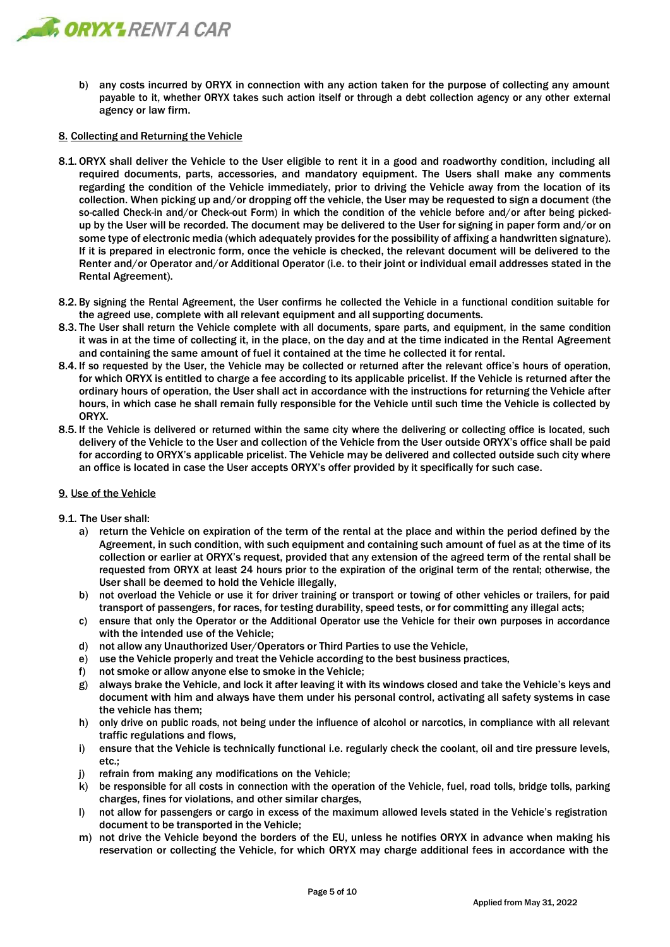

b) any costs incurred by ORYX in connection with any action taken for the purpose of collecting any amount payable to it, whether ORYX takes such action itself or through a debt collection agency or any other external agency or law firm.

## 8. Collecting and Returning the Vehicle

- 8.1. ORYX shall deliver the Vehicle to the User eligible to rent it in a good and roadworthy condition, including all required documents, parts, accessories, and mandatory equipment. The Users shall make any comments regarding the condition of the Vehicle immediately, prior to driving the Vehicle away from the location of its collection. When picking up and/or dropping off the vehicle, the User may be requested to sign a document (the so-called Check-in and/or Check-out Form) in which the condition of the vehicle before and/or after being pickedup by the User will be recorded. The document may be delivered to the User for signing in paper form and/or on some type of electronic media (which adequately provides for the possibility of affixing a handwritten signature). If it is prepared in electronic form, once the vehicle is checked, the relevant document will be delivered to the Renter and/or Operator and/or Additional Operator (i.e. to their joint or individual email addresses stated in the Rental Agreement).
- 8.2. By signing the Rental Agreement, the User confirms he collected the Vehicle in a functional condition suitable for the agreed use, complete with all relevant equipment and all supporting documents.
- 8.3. The User shall return the Vehicle complete with all documents, spare parts, and equipment, in the same condition it was in at the time of collecting it, in the place, on the day and at the time indicated in the Rental Agreement and containing the same amount of fuel it contained at the time he collected it for rental.
- 8.4. If so requested by the User, the Vehicle may be collected or returned after the relevant office's hours of operation, for which ORYX is entitled to charge a fee according to its applicable pricelist. If the Vehicle is returned after the ordinary hours of operation, the User shall act in accordance with the instructions for returning the Vehicle after hours, in which case he shall remain fully responsible for the Vehicle until such time the Vehicle is collected by ORYX.
- 8.5. If the Vehicle is delivered or returned within the same city where the delivering or collecting office is located, such delivery of the Vehicle to the User and collection of the Vehicle from the User outside ORYX's office shall be paid for according to ORYX's applicable pricelist. The Vehicle may be delivered and collected outside such city where an office is located in case the User accepts ORYX's offer provided by it specifically for such case.

### 9. Use of the Vehicle

- 9.1. The User shall:
	- a) return the Vehicle on expiration of the term of the rental at the place and within the period defined by the Agreement, in such condition, with such equipment and containing such amount of fuel as at the time of its collection or earlier at ORYX's request, provided that any extension of the agreed term of the rental shall be requested from ORYX at least 24 hours prior to the expiration of the original term of the rental; otherwise, the User shall be deemed to hold the Vehicle illegally,
	- b) not overload the Vehicle or use it for driver training or transport or towing of other vehicles or trailers, for paid transport of passengers, for races, for testing durability, speed tests, or for committing any illegal acts;
	- c) ensure that only the Operator or the Additional Operator use the Vehicle for their own purposes in accordance with the intended use of the Vehicle;
	- d) not allow any Unauthorized User/Operators or Third Parties to use the Vehicle,
	- e) use the Vehicle properly and treat the Vehicle according to the best business practices,
	- f) not smoke or allow anyone else to smoke in the Vehicle;
	- g) always brake the Vehicle, and lock it after leaving it with its windows closed and take the Vehicle's keys and document with him and always have them under his personal control, activating all safety systems in case the vehicle has them;
	- h) only drive on public roads, not being under the influence of alcohol or narcotics, in compliance with all relevant traffic regulations and flows,
	- i) ensure that the Vehicle is technically functional i.e. regularly check the coolant, oil and tire pressure levels, etc.;
	- j) refrain from making any modifications on the Vehicle;
	- k) be responsible for all costs in connection with the operation of the Vehicle, fuel, road tolls, bridge tolls, parking charges, fines for violations, and other similar charges,
	- l) not allow for passengers or cargo in excess of the maximum allowed levels stated in the Vehicle's registration document to be transported in the Vehicle;
	- m) not drive the Vehicle beyond the borders of the EU, unless he notifies ORYX in advance when making his reservation or collecting the Vehicle, for which ORYX may charge additional fees in accordance with the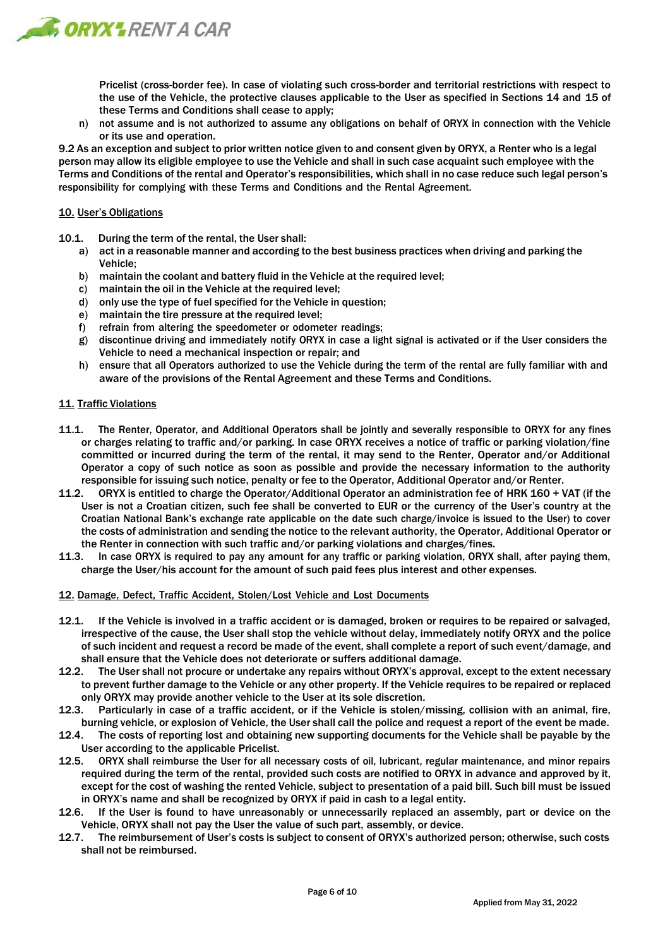

Pricelist (cross-border fee). In case of violating such cross-border and territorial restrictions with respect to the use of the Vehicle, the protective clauses applicable to the User as specified in Sections 14 and 15 of these Terms and Conditions shall cease to apply;

n) not assume and is not authorized to assume any obligations on behalf of ORYX in connection with the Vehicle or its use and operation.

9.2 As an exception and subject to prior written notice given to and consent given by ORYX, a Renter who is a legal person may allow its eligible employee to use the Vehicle and shall in such case acquaint such employee with the Terms and Conditions of the rental and Operator's responsibilities, which shall in no case reduce such legal person's responsibility for complying with these Terms and Conditions and the Rental Agreement.

## 10. User's Obligations

- 10.1. During the term of the rental, the User shall:
	- a) act in a reasonable manner and according to the best business practices when driving and parking the Vehicle;
	- b) maintain the coolant and battery fluid in the Vehicle at the required level;
	- c) maintain the oil in the Vehicle at the required level;
	- d) only use the type of fuel specified for the Vehicle in question;
	- e) maintain the tire pressure at the required level;
	- f) refrain from altering the speedometer or odometer readings;
	- g) discontinue driving and immediately notify ORYX in case a light signal is activated or if the User considers the Vehicle to need a mechanical inspection or repair; and
	- h) ensure that all Operators authorized to use the Vehicle during the term of the rental are fully familiar with and aware of the provisions of the Rental Agreement and these Terms and Conditions.

## 11. Traffic Violations

- 11.1. The Renter, Operator, and Additional Operators shall be jointly and severally responsible to ORYX for any fines or charges relating to traffic and/or parking. In case ORYX receives a notice of traffic or parking violation/fine committed or incurred during the term of the rental, it may send to the Renter, Operator and/or Additional Operator a copy of such notice as soon as possible and provide the necessary information to the authority responsible for issuing such notice, penalty or fee to the Operator, Additional Operator and/or Renter.
- 11.2. ORYX is entitled to charge the Operator/Additional Operator an administration fee of HRK 160 + VAT (if the User is not a Croatian citizen, such fee shall be converted to EUR or the currency of the User's country at the Croatian National Bank's exchange rate applicable on the date such charge/invoice is issued to the User) to cover the costs of administration and sending the notice to the relevant authority, the Operator, Additional Operator or the Renter in connection with such traffic and/or parking violations and charges/fines.
- 11.3. In case ORYX is required to pay any amount for any traffic or parking violation, ORYX shall, after paying them, charge the User/his account for the amount of such paid fees plus interest and other expenses.

### 12. Damage, Defect, Traffic Accident, Stolen/Lost Vehicle and Lost Documents

- 12.1. If the Vehicle is involved in a traffic accident or is damaged, broken or requires to be repaired or salvaged, irrespective of the cause, the User shall stop the vehicle without delay, immediately notify ORYX and the police of such incident and request a record be made of the event, shall complete a report of such event/damage, and shall ensure that the Vehicle does not deteriorate or suffers additional damage.
- 12.2. The User shall not procure or undertake any repairs without ORYX's approval, except to the extent necessary to prevent further damage to the Vehicle or any other property. If the Vehicle requires to be repaired or replaced only ORYX may provide another vehicle to the User at its sole discretion.
- 12.3. Particularly in case of a traffic accident, or if the Vehicle is stolen/missing, collision with an animal, fire, burning vehicle, or explosion of Vehicle, the User shall call the police and request a report of the event be made.
- 12.4. The costs of reporting lost and obtaining new supporting documents for the Vehicle shall be payable by the User according to the applicable Pricelist.
- 12.5. ORYX shall reimburse the User for all necessary costs of oil, lubricant, regular maintenance, and minor repairs required during the term of the rental, provided such costs are notified to ORYX in advance and approved by it, except for the cost of washing the rented Vehicle, subject to presentation of a paid bill. Such bill must be issued in ORYX's name and shall be recognized by ORYX if paid in cash to a legal entity.
- 12.6. If the User is found to have unreasonably or unnecessarily replaced an assembly, part or device on the Vehicle, ORYX shall not pay the User the value of such part, assembly, or device.
- 12.7. The reimbursement of User's costs is subject to consent of ORYX's authorized person; otherwise, such costs shall not be reimbursed.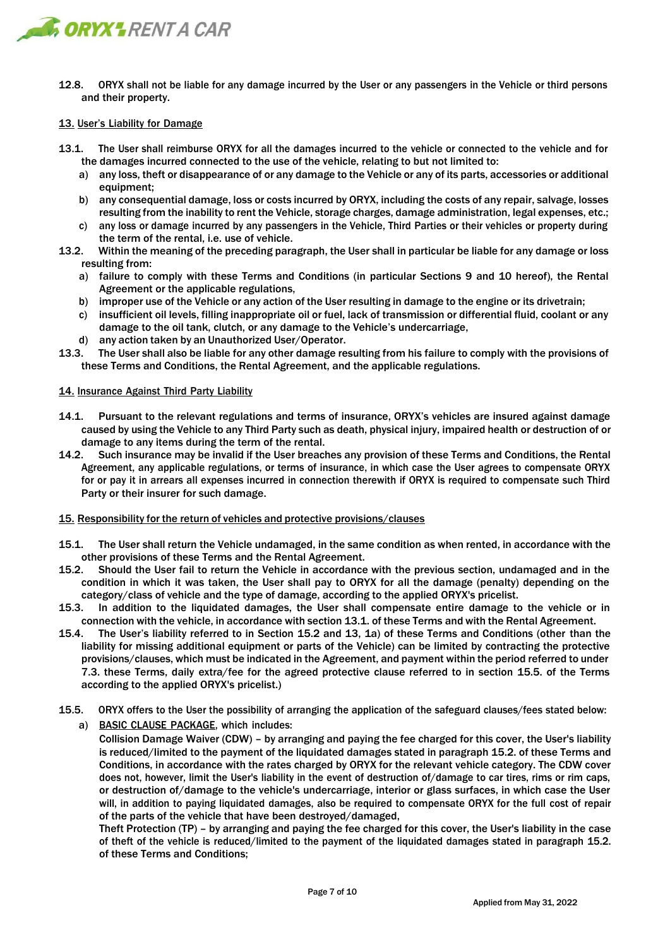

12.8. ORYX shall not be liable for any damage incurred by the User or any passengers in the Vehicle or third persons and their property.

## 13. User's Liability for Damage

- 13.1. The User shall reimburse ORYX for all the damages incurred to the vehicle or connected to the vehicle and for the damages incurred connected to the use of the vehicle, relating to but not limited to:
	- a) any loss, theft or disappearance of or any damage to the Vehicle or any of its parts, accessories or additional equipment;
	- b) any consequential damage, loss or costs incurred by ORYX, including the costs of any repair, salvage, losses resulting from the inability to rent the Vehicle, storage charges, damage administration, legal expenses, etc.;
	- c) any loss or damage incurred by any passengers in the Vehicle, Third Parties or their vehicles or property during the term of the rental, i.e. use of vehicle.
- 13.2. Within the meaning of the preceding paragraph, the User shall in particular be liable for any damage or loss resulting from:
	- a) failure to comply with these Terms and Conditions (in particular Sections 9 and 10 hereof), the Rental Agreement or the applicable regulations,
	- b) improper use of the Vehicle or any action of the User resulting in damage to the engine or its drivetrain;
	- c) insufficient oil levels, filling inappropriate oil or fuel, lack of transmission or differential fluid, coolant or any damage to the oil tank, clutch, or any damage to the Vehicle's undercarriage,
	- d) any action taken by an Unauthorized User/Operator.
- 13.3. The User shall also be liable for any other damage resulting from his failure to comply with the provisions of these Terms and Conditions, the Rental Agreement, and the applicable regulations.

### 14. Insurance Against Third Party Liability

- 14.1. Pursuant to the relevant regulations and terms of insurance, ORYX's vehicles are insured against damage caused by using the Vehicle to any Third Party such as death, physical injury, impaired health or destruction of or damage to any items during the term of the rental.
- 14.2. Such insurance may be invalid if the User breaches any provision of these Terms and Conditions, the Rental Agreement, any applicable regulations, or terms of insurance, in which case the User agrees to compensate ORYX for or pay it in arrears all expenses incurred in connection therewith if ORYX is required to compensate such Third Party or their insurer for such damage.

### 15. Responsibility for the return of vehicles and protective provisions/clauses

- 15.1. The User shall return the Vehicle undamaged, in the same condition as when rented, in accordance with the other provisions of these Terms and the Rental Agreement.
- 15.2. Should the User fail to return the Vehicle in accordance with the previous section, undamaged and in the condition in which it was taken, the User shall pay to ORYX for all the damage (penalty) depending on the category/class of vehicle and the type of damage, according to the applied ORYX's pricelist.
- 15.3. In addition to the liquidated damages, the User shall compensate entire damage to the vehicle or in connection with the vehicle, in accordance with section 13.1. of these Terms and with the Rental Agreement.
- 15.4. The User's liability referred to in Section 15.2 and 13, 1a) of these Terms and Conditions (other than the liability for missing additional equipment or parts of the Vehicle) can be limited by contracting the protective provisions/clauses, which must be indicated in the Agreement, and payment within the period referred to under 7.3. these Terms, daily extra/fee for the agreed protective clause referred to in section 15.5. of the Terms according to the applied ORYX's pricelist.)
- 15.5. ORYX offers to the User the possibility of arranging the application of the safeguard clauses/fees stated below: a) BASIC CLAUSE PACKAGE, which includes:

Collision Damage Waiver (CDW) – by arranging and paying the fee charged for this cover, the User's liability is reduced/limited to the payment of the liquidated damages stated in paragraph 15.2. of these Terms and Conditions, in accordance with the rates charged by ORYX for the relevant vehicle category. The CDW cover does not, however, limit the User's liability in the event of destruction of/damage to car tires, rims or rim caps, or destruction of/damage to the vehicle's undercarriage, interior or glass surfaces, in which case the User will, in addition to paying liquidated damages, also be required to compensate ORYX for the full cost of repair of the parts of the vehicle that have been destroyed/damaged,

Theft Protection (TP) – by arranging and paying the fee charged for this cover, the User's liability in the case of theft of the vehicle is reduced/limited to the payment of the liquidated damages stated in paragraph 15.2. of these Terms and Conditions;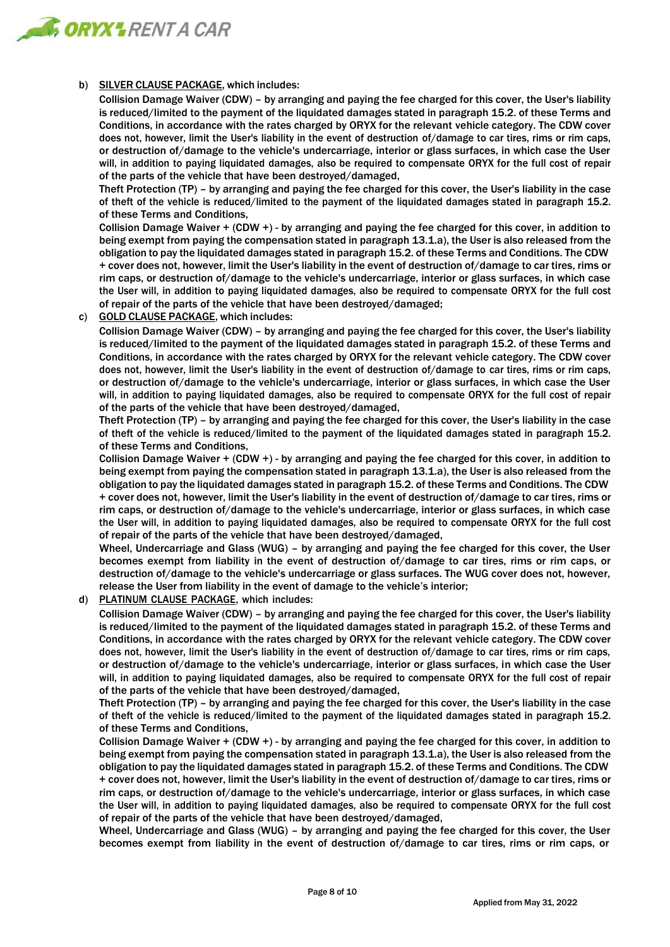

## b) SILVER CLAUSE PACKAGE, which includes:

Collision Damage Waiver (CDW) – by arranging and paying the fee charged for this cover, the User's liability is reduced/limited to the payment of the liquidated damages stated in paragraph 15.2. of these Terms and Conditions, in accordance with the rates charged by ORYX for the relevant vehicle category. The CDW cover does not, however, limit the User's liability in the event of destruction of/damage to car tires, rims or rim caps, or destruction of/damage to the vehicle's undercarriage, interior or glass surfaces, in which case the User will, in addition to paying liquidated damages, also be required to compensate ORYX for the full cost of repair of the parts of the vehicle that have been destroyed/damaged,

Theft Protection (TP) – by arranging and paying the fee charged for this cover, the User's liability in the case of theft of the vehicle is reduced/limited to the payment of the liquidated damages stated in paragraph 15.2. of these Terms and Conditions,

Collision Damage Waiver + (CDW +) - by arranging and paying the fee charged for this cover, in addition to being exempt from paying the compensation stated in paragraph 13.1.a), the User is also released from the obligation to pay the liquidated damages stated in paragraph 15.2. of these Terms and Conditions. The CDW + cover does not, however, limit the User's liability in the event of destruction of/damage to car tires, rims or rim caps, or destruction of/damage to the vehicle's undercarriage, interior or glass surfaces, in which case the User will, in addition to paying liquidated damages, also be required to compensate ORYX for the full cost of repair of the parts of the vehicle that have been destroyed/damaged;

c) GOLD CLAUSE PACKAGE, which includes:

Collision Damage Waiver (CDW) – by arranging and paying the fee charged for this cover, the User's liability is reduced/limited to the payment of the liquidated damages stated in paragraph 15.2. of these Terms and Conditions, in accordance with the rates charged by ORYX for the relevant vehicle category. The CDW cover does not, however, limit the User's liability in the event of destruction of/damage to car tires, rims or rim caps, or destruction of/damage to the vehicle's undercarriage, interior or glass surfaces, in which case the User will, in addition to paying liquidated damages, also be required to compensate ORYX for the full cost of repair of the parts of the vehicle that have been destroyed/damaged,

Theft Protection (TP) – by arranging and paying the fee charged for this cover, the User's liability in the case of theft of the vehicle is reduced/limited to the payment of the liquidated damages stated in paragraph 15.2. of these Terms and Conditions,

Collision Damage Waiver + (CDW +) - by arranging and paying the fee charged for this cover, in addition to being exempt from paying the compensation stated in paragraph 13.1.a), the User is also released from the obligation to pay the liquidated damages stated in paragraph 15.2. of these Terms and Conditions. The CDW + cover does not, however, limit the User's liability in the event of destruction of/damage to car tires, rims or rim caps, or destruction of/damage to the vehicle's undercarriage, interior or glass surfaces, in which case the User will, in addition to paying liquidated damages, also be required to compensate ORYX for the full cost of repair of the parts of the vehicle that have been destroyed/damaged,

Wheel, Undercarriage and Glass (WUG) – by arranging and paying the fee charged for this cover, the User becomes exempt from liability in the event of destruction of/damage to car tires, rims or rim caps, or destruction of/damage to the vehicle's undercarriage or glass surfaces. The WUG cover does not, however, release the User from liability in the event of damage to the vehicle's interior;

d) PLATINUM CLAUSE PACKAGE, which includes:

Collision Damage Waiver (CDW) – by arranging and paying the fee charged for this cover, the User's liability is reduced/limited to the payment of the liquidated damages stated in paragraph 15.2. of these Terms and Conditions, in accordance with the rates charged by ORYX for the relevant vehicle category. The CDW cover does not, however, limit the User's liability in the event of destruction of/damage to car tires, rims or rim caps, or destruction of/damage to the vehicle's undercarriage, interior or glass surfaces, in which case the User will, in addition to paying liquidated damages, also be required to compensate ORYX for the full cost of repair of the parts of the vehicle that have been destroyed/damaged,

Theft Protection (TP) – by arranging and paying the fee charged for this cover, the User's liability in the case of theft of the vehicle is reduced/limited to the payment of the liquidated damages stated in paragraph 15.2. of these Terms and Conditions,

Collision Damage Waiver + (CDW +) - by arranging and paying the fee charged for this cover, in addition to being exempt from paying the compensation stated in paragraph 13.1.a), the User is also released from the obligation to pay the liquidated damages stated in paragraph 15.2. of these Terms and Conditions. The CDW + cover does not, however, limit the User's liability in the event of destruction of/damage to car tires, rims or rim caps, or destruction of/damage to the vehicle's undercarriage, interior or glass surfaces, in which case the User will, in addition to paying liquidated damages, also be required to compensate ORYX for the full cost of repair of the parts of the vehicle that have been destroyed/damaged,

Wheel, Undercarriage and Glass (WUG) – by arranging and paying the fee charged for this cover, the User becomes exempt from liability in the event of destruction of/damage to car tires, rims or rim caps, or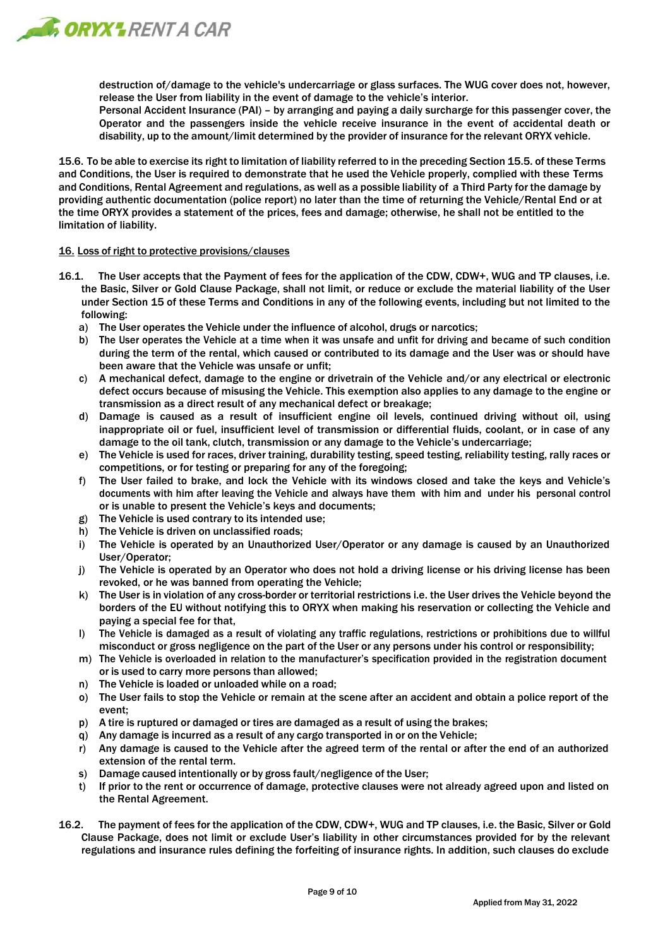

destruction of/damage to the vehicle's undercarriage or glass surfaces. The WUG cover does not, however, release the User from liability in the event of damage to the vehicle's interior.

Personal Accident Insurance (PAI) – by arranging and paying a daily surcharge for this passenger cover, the Operator and the passengers inside the vehicle receive insurance in the event of accidental death or disability, up to the amount/limit determined by the provider of insurance for the relevant ORYX vehicle.

15.6. To be able to exercise its right to limitation of liability referred to in the preceding Section 15.5. of these Terms and Conditions, the User is required to demonstrate that he used the Vehicle properly, complied with these Terms and Conditions, Rental Agreement and regulations, as well as a possible liability of a Third Party for the damage by providing authentic documentation (police report) no later than the time of returning the Vehicle/Rental End or at the time ORYX provides a statement of the prices, fees and damage; otherwise, he shall not be entitled to the limitation of liability.

### 16. Loss of right to protective provisions/clauses

- 16.1. The User accepts that the Payment of fees for the application of the CDW, CDW+, WUG and TP clauses, i.e. the Basic, Silver or Gold Clause Package, shall not limit, or reduce or exclude the material liability of the User under Section 15 of these Terms and Conditions in any of the following events, including but not limited to the following:
	- a) The User operates the Vehicle under the influence of alcohol, drugs or narcotics;
	- b) The User operates the Vehicle at a time when it was unsafe and unfit for driving and became of such condition during the term of the rental, which caused or contributed to its damage and the User was or should have been aware that the Vehicle was unsafe or unfit;
	- c) A mechanical defect, damage to the engine or drivetrain of the Vehicle and/or any electrical or electronic defect occurs because of misusing the Vehicle. This exemption also applies to any damage to the engine or transmission as a direct result of any mechanical defect or breakage;
	- d) Damage is caused as a result of insufficient engine oil levels, continued driving without oil, using inappropriate oil or fuel, insufficient level of transmission or differential fluids, coolant, or in case of any damage to the oil tank, clutch, transmission or any damage to the Vehicle's undercarriage;
	- e) The Vehicle is used for races, driver training, durability testing, speed testing, reliability testing, rally races or competitions, or for testing or preparing for any of the foregoing;
	- f) The User failed to brake, and lock the Vehicle with its windows closed and take the keys and Vehicle's documents with him after leaving the Vehicle and always have them with him and under his personal control or is unable to present the Vehicle's keys and documents;
	- g) The Vehicle is used contrary to its intended use;
	- h) The Vehicle is driven on unclassified roads;
	- i) The Vehicle is operated by an Unauthorized User/Operator or any damage is caused by an Unauthorized User/Operator;
	- j) The Vehicle is operated by an Operator who does not hold a driving license or his driving license has been revoked, or he was banned from operating the Vehicle;
	- k) The User is in violation of any cross-border or territorial restrictions i.e. the User drives the Vehicle beyond the borders of the EU without notifying this to ORYX when making his reservation or collecting the Vehicle and paying a special fee for that,
	- l) The Vehicle is damaged as a result of violating any traffic regulations, restrictions or prohibitions due to willful misconduct or gross negligence on the part of the User or any persons under his control or responsibility;
	- m) The Vehicle is overloaded in relation to the manufacturer's specification provided in the registration document or is used to carry more persons than allowed;
	- n) The Vehicle is loaded or unloaded while on a road;
	- o) The User fails to stop the Vehicle or remain at the scene after an accident and obtain a police report of the event;
	- p) A tire is ruptured or damaged or tires are damaged as a result of using the brakes;
	- q) Any damage is incurred as a result of any cargo transported in or on the Vehicle;
	- r) Any damage is caused to the Vehicle after the agreed term of the rental or after the end of an authorized extension of the rental term.
	- s) Damage caused intentionally or by gross fault/negligence of the User;
	- t) If prior to the rent or occurrence of damage, protective clauses were not already agreed upon and listed on the Rental Agreement.
- 16.2. The payment of fees for the application of the CDW, CDW+, WUG and TP clauses, i.e. the Basic, Silver or Gold Clause Package, does not limit or exclude User's liability in other circumstances provided for by the relevant regulations and insurance rules defining the forfeiting of insurance rights. In addition, such clauses do exclude